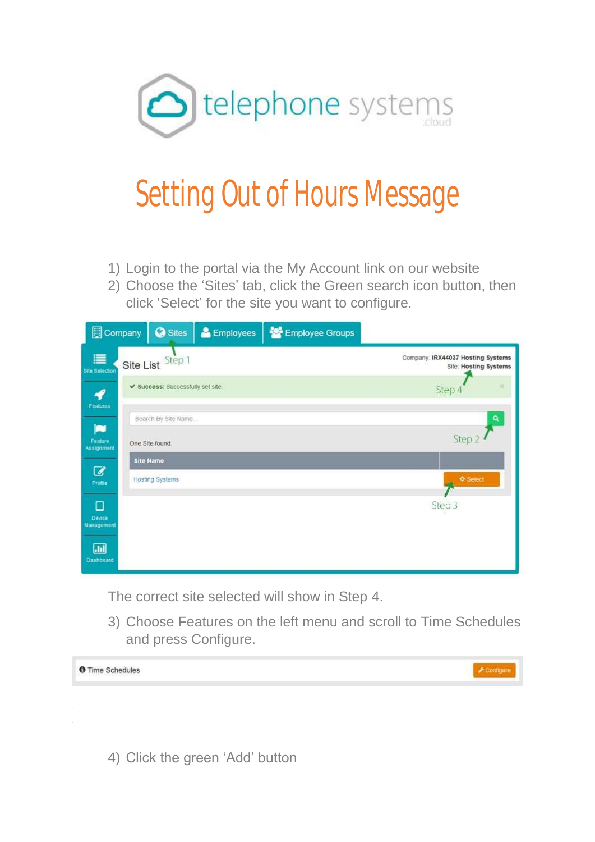

## Setting Out of Hours Message

- 1) Login to the portal via the My Account link on our website
- 2) Choose the 'Sites' tab, click the Green search icon button, then click 'Select' for the site you want to configure.

| Company                    | <b>O</b> Sites                         | & Employees | Employee Groups |                                                            |
|----------------------------|----------------------------------------|-------------|-----------------|------------------------------------------------------------|
| 這<br><b>Site Selection</b> | Site List Step 1                       |             |                 | Company: IRX44037 Hosting Systems<br>Site: Hosting Systems |
| Features                   | ✔ Success: Successfully set site       |             |                 | Step 4                                                     |
| œ<br>Feature<br>Assignment | Search By Site Name<br>One Site found. |             |                 | Step 2                                                     |
| ☑                          | <b>Site Name</b>                       |             |                 |                                                            |
| Profile                    | <b>Hosting Systems</b>                 |             |                 | <b>♦ Select</b>                                            |
| О<br>Device<br>Management  |                                        |             |                 | Step 3                                                     |
| $\Box$<br>Dashboard        |                                        |             |                 |                                                            |

The correct site selected will show in Step 4.

3) Choose Features on the left menu and scroll to Time Schedules and press Configure.



4) Click the green 'Add' button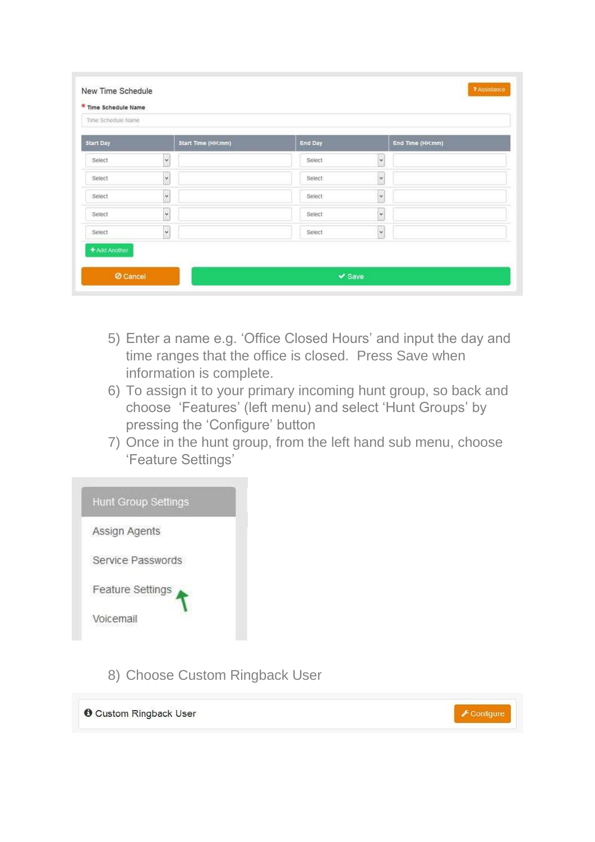| Time Schedule Name |                      |                |                      |  |  |  |
|--------------------|----------------------|----------------|----------------------|--|--|--|
| <b>Start Day</b>   | Start Time (HH:mm)   | <b>End Day</b> | End Time (HH:mm)     |  |  |  |
| Select             | $\ddot{\phantom{0}}$ | Select         | Y                    |  |  |  |
| Select             | $\checkmark$         | Select         | ¥                    |  |  |  |
| Select             | $\checkmark$         | Select.        | $\ddot{\phantom{0}}$ |  |  |  |
| Select             | $_{\rm v}$           | Select         | $_{\rm v}$           |  |  |  |
| Seiect             | $\ddot{\phantom{0}}$ | Select         | ×                    |  |  |  |
| + Add Another      |                      |                |                      |  |  |  |

- 5) Enter a name e.g. 'Office Closed Hours' and input the day and time ranges that the office is closed. Press Save when information is complete.
- 6) To assign it to your primary incoming hunt group, so back and choose 'Features' (left menu) and select 'Hunt Groups' by pressing the 'Configure' button
- 7) Once in the hunt group, from the left hand sub menu, choose 'Feature Settings'



8) Choose Custom Ringback User

**O** Custom Ringback User

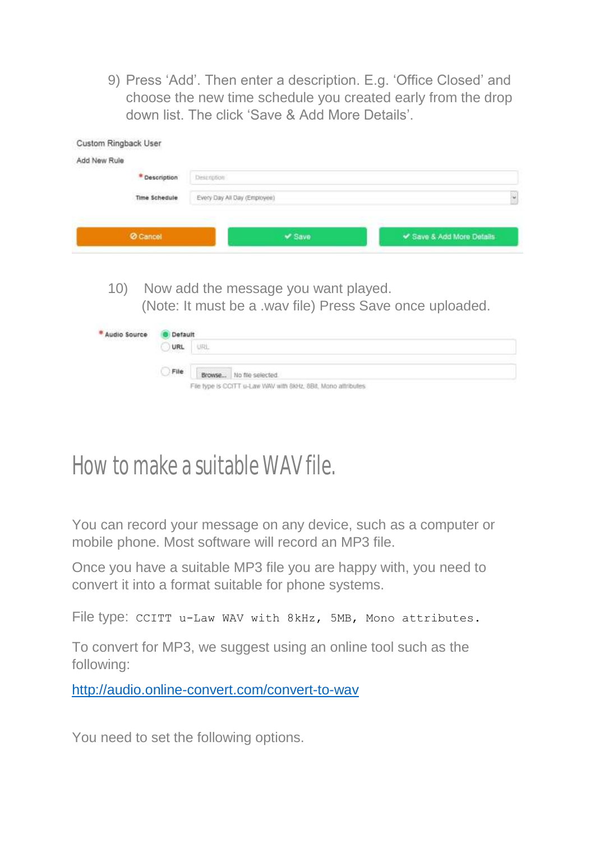9) Press 'Add'. Then enter a description. E.g. 'Office Closed' and choose the new time schedule you created early from the drop down list. The click 'Save & Add More Details'.

| Description | Description   |                              |                                      |                                                          |
|-------------|---------------|------------------------------|--------------------------------------|----------------------------------------------------------|
|             | Time Schedule | Every Day All Day (Employee) |                                      |                                                          |
|             | Cancel        |                              | $\times$ Save                        | Save & Add More Details                                  |
|             |               |                              |                                      |                                                          |
| 10)         |               |                              | Now add the message you want played. | (Note: It must be a .wav file) Press Save once uploaded. |

## File type is CCITT u-Law WAV with 8kHz, 8Bit, Mono attributes

## How to make a suitable WAV file.

You can record your message on any device, such as a computer or mobile phone. Most software will record an MP3 file.

Once you have a suitable MP3 file you are happy with, you need to convert it into a format suitable for phone systems.

File type: CCITT u-Law WAV with 8kHz, 5MB, Mono attributes.

To convert for MP3, we suggest using an online tool such as the following:

<http://audio.online-convert.com/convert-to-wav>

You need to set the following options.